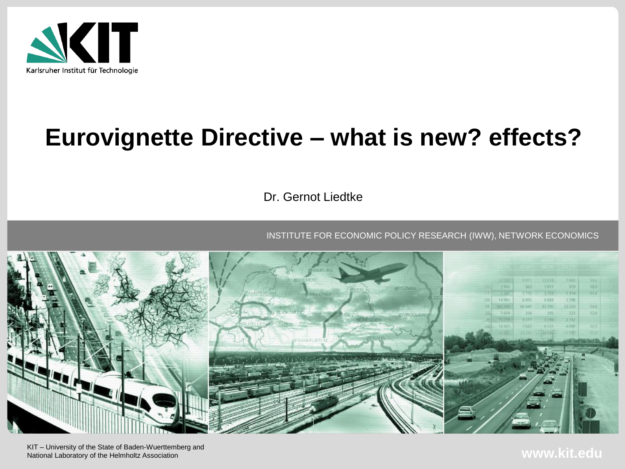

# **Eurovignette Directive – what is new? effects?**

Dr. Gernot Liedtke

INSTITUTE FOR ECONOMIC POLICY RESEARCH (IWW), NETWORK ECONOMICS



KIT – University of the State of Baden-Wuerttemberg and National Laboratory of the Helmholtz Association

**www.kit.edu**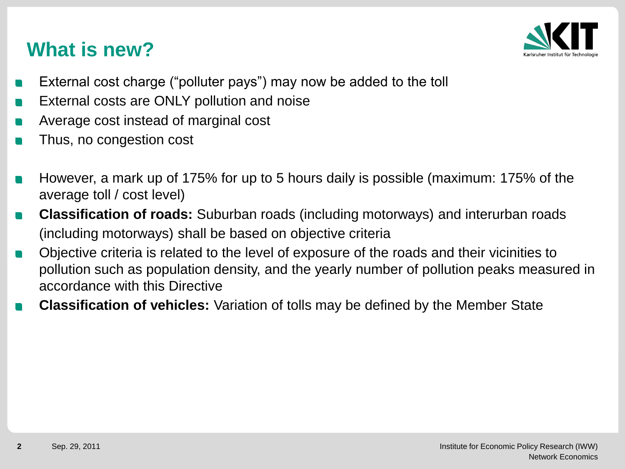## **What is new?**



- External cost charge ("polluter pays") may now be added to the toll
- External costs are ONLY pollution and noise n
- Average cost instead of marginal cost n
- Thus, no congestion cost
- However, a mark up of 175% for up to 5 hours daily is possible (maximum: 175% of the average toll / cost level)
- **Classification of roads:** Suburban roads (including motorways) and interurban roads  $\mathcal{L}$ (including motorways) shall be based on objective criteria
- Objective criteria is related to the level of exposure of the roads and their vicinities to  $\mathcal{L}_{\text{max}}$ pollution such as population density, and the yearly number of pollution peaks measured in accordance with this Directive
- **Classification of vehicles:** Variation of tolls may be defined by the Member State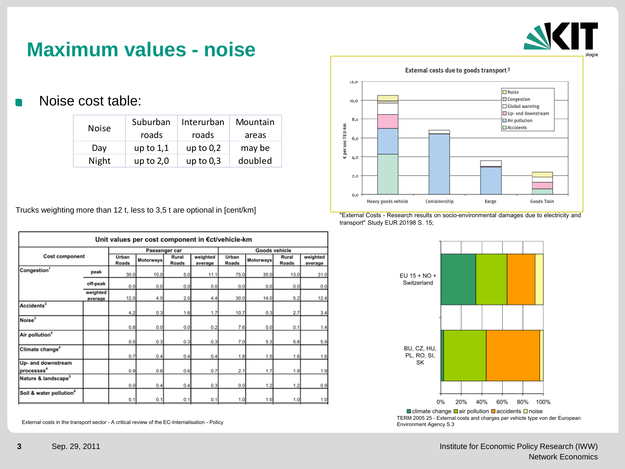

#### **Maximum values - noise**

Noise cost table:

| <b>Noise</b> | Suburban    | Interurban  | Mountain |  |
|--------------|-------------|-------------|----------|--|
|              | roads       | roads       | areas    |  |
| Day          | up to $1,1$ | up to $0,2$ | may be   |  |
| Night        | up to $2,0$ | up to $0,3$ | doubled  |  |

Trucks weighting more than 12 t, less to 3,5 t are optional in [cent/km]

| Unit values per cost component in €ct/vehicle-km |                     |                |           |                |                     |                |           |                |                     |
|--------------------------------------------------|---------------------|----------------|-----------|----------------|---------------------|----------------|-----------|----------------|---------------------|
| <b>Cost component</b>                            |                     | Passenger car  |           |                | Goods vehicle       |                |           |                |                     |
|                                                  |                     | Urban<br>Roads | Motorways | Rural<br>Roads | weighted<br>average | Urban<br>Roads | Motorways | Rural<br>Roads | weighted<br>average |
| Congestion <sup>1</sup>                          | peak                | 30.0           | 10.0      | 5.0            | 11.1                | 75.0           | 35.0      | 13.0           | 31.                 |
|                                                  | off-peak            | 0.0            | 0.0       | 0.0            | 0.0                 | 0.0            | 0.0       | 0.0            | 0.                  |
|                                                  | weighted<br>average | 12.0           | 4.0       | 2.0            | 4.4                 | 30.0           | 14.0      | 5.2            | 12.                 |
| Accidents <sup>2</sup>                           |                     | 4.2            | 0.3       | 1.6            | 1.7                 | 10.7           | 0.3       | 2.7            | 3.                  |
| Noise <sup>3</sup>                               |                     | 0.8            | 0.0       | 0.0            | 0.2                 | 7.6            | 0.0       | 0.1            | 1.                  |
| Air pollution <sup>4</sup>                       |                     | 0.5            | 0.3       | 0.3            | 0.3                 | 7.0            | 5.3       | 5.8            | 5.                  |
| Climate change <sup>4</sup>                      |                     | 0.7            | 0.4       | 0.4            | 0.4                 | 1.8            | 1.5       | 1.6            | 1.                  |
| Up- and downstream<br>processes <sup>4</sup>     |                     | 0.9            | 0.6       | 0.6            | 0.7                 | 2.1            | 1.7       | 1.9            | 1.                  |
| Nature & landscape <sup>5</sup>                  |                     | 0.0            | 0.4       | 0.4            | 0.3                 | 0.0            | 1.2       | 1.2            | $\mathbf{0}$        |
| Soil & water pollution <sup>6</sup>              |                     | 0.1            | 0.1       | 0.1            | 0.1                 | 1.0            | 1.0       | 1.0            | 1.                  |

External costs in the transport sector - A critical review of the EC-Internalisation - Policy



"External Costs - Research results on socio-environmental damages due to electricity and transport" Study EUR 20198 S. 15;



TERM 2005 25 - External costs and charges per vehicle type von der European Environment Agency S.3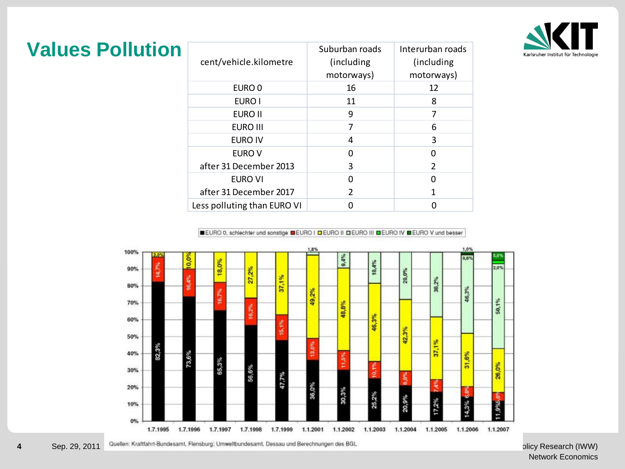

| <b>Values Pollution</b> | cent/vehicle.kilometre |
|-------------------------|------------------------|
|                         |                        |

| cent/vehicle.kilometre      | Suburban roads<br>(including)<br>motorways) | Interurban roads<br>(including)<br>motorways) |
|-----------------------------|---------------------------------------------|-----------------------------------------------|
| EURO 0                      | 16                                          | 12                                            |
| EURO I                      | 11                                          | 8                                             |
| EURO II                     | 9                                           | 7                                             |
| <b>EURO III</b>             | 7                                           | 6                                             |
| EURO IV                     | 4                                           | 3                                             |
| EURO V                      | 0                                           | O                                             |
| after 31 December 2013      | 3                                           | $\mathcal{P}$                                 |
| EURO VI                     | ი                                           | U                                             |
| after 31 December 2017      | 2                                           | 1                                             |
| Less polluting than EURO VI |                                             |                                               |

EURO 0, schiechter und sonstige DEURO | DEURO | DEURO | | DEURO |V DEURO V und besser



olicy Research (IWW) Network Economics

Quellen: Kraftfahrt-Bundesamt, Flensburg; Umweltbundesamt, Dessau und Berechnungen des BGL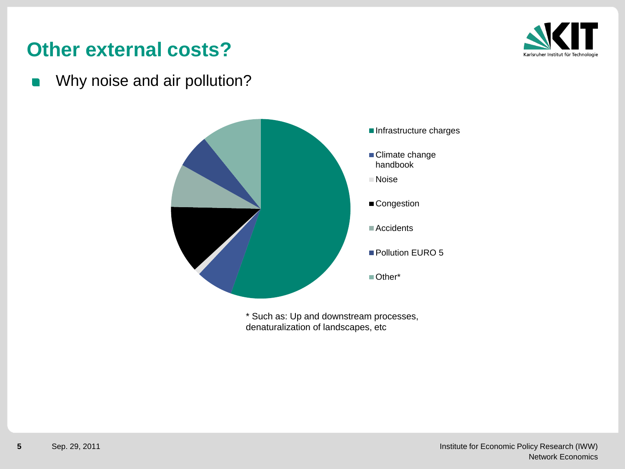### **Other external costs?**



Why noise and air pollution?



\* Such as: Up and downstream processes, denaturalization of landscapes, etc